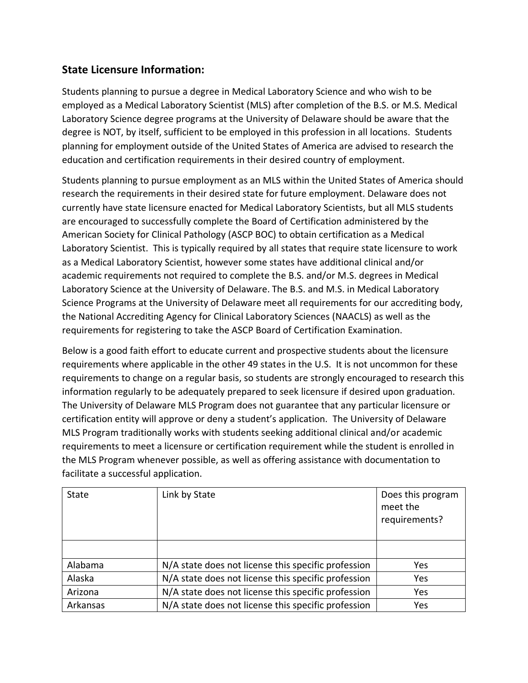## **State Licensure Information:**

Students planning to pursue a degree in Medical Laboratory Science and who wish to be employed as a Medical Laboratory Scientist (MLS) after completion of the B.S. or M.S. Medical Laboratory Science degree programs at the University of Delaware should be aware that the degree is NOT, by itself, sufficient to be employed in this profession in all locations. Students planning for employment outside of the United States of America are advised to research the education and certification requirements in their desired country of employment.

Students planning to pursue employment as an MLS within the United States of America should research the requirements in their desired state for future employment. Delaware does not currently have state licensure enacted for Medical Laboratory Scientists, but all MLS students are encouraged to successfully complete the Board of Certification administered by the American Society for Clinical Pathology (ASCP BOC) to obtain certification as a Medical Laboratory Scientist. This is typically required by all states that require state licensure to work as a Medical Laboratory Scientist, however some states have additional clinical and/or academic requirements not required to complete the B.S. and/or M.S. degrees in Medical Laboratory Science at the University of Delaware. The B.S. and M.S. in Medical Laboratory Science Programs at the University of Delaware meet all requirements for our accrediting body, the National Accrediting Agency for Clinical Laboratory Sciences (NAACLS) as well as the requirements for registering to take the ASCP Board of Certification Examination.

Below is a good faith effort to educate current and prospective students about the licensure requirements where applicable in the other 49 states in the U.S. It is not uncommon for these requirements to change on a regular basis, so students are strongly encouraged to research this information regularly to be adequately prepared to seek licensure if desired upon graduation. The University of Delaware MLS Program does not guarantee that any particular licensure or certification entity will approve or deny a student's application. The University of Delaware MLS Program traditionally works with students seeking additional clinical and/or academic requirements to meet a licensure or certification requirement while the student is enrolled in the MLS Program whenever possible, as well as offering assistance with documentation to facilitate a successful application.

| <b>State</b> | Link by State                                       | Does this program<br>meet the<br>requirements? |
|--------------|-----------------------------------------------------|------------------------------------------------|
|              |                                                     |                                                |
| Alabama      | N/A state does not license this specific profession | Yes                                            |
| Alaska       | N/A state does not license this specific profession | Yes                                            |
| Arizona      | N/A state does not license this specific profession | <b>Yes</b>                                     |
| Arkansas     | N/A state does not license this specific profession | Yes                                            |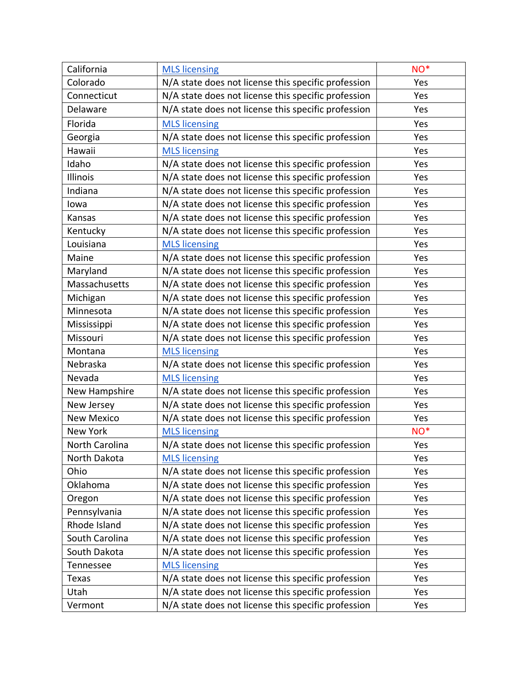| California        | <b>MLS licensing</b>                                | NO <sup>*</sup> |
|-------------------|-----------------------------------------------------|-----------------|
| Colorado          | N/A state does not license this specific profession | Yes             |
| Connecticut       | N/A state does not license this specific profession | Yes             |
| Delaware          | N/A state does not license this specific profession | Yes             |
| Florida           | <b>MLS licensing</b>                                | Yes             |
| Georgia           | N/A state does not license this specific profession | Yes             |
| Hawaii            | <b>MLS</b> licensing                                | Yes             |
| Idaho             | N/A state does not license this specific profession | Yes             |
| Illinois          | N/A state does not license this specific profession | Yes             |
| Indiana           | N/A state does not license this specific profession | Yes             |
| lowa              | N/A state does not license this specific profession | Yes             |
| Kansas            | N/A state does not license this specific profession | Yes             |
| Kentucky          | N/A state does not license this specific profession | Yes             |
| Louisiana         | <b>MLS</b> licensing                                | Yes             |
| Maine             | N/A state does not license this specific profession | Yes             |
| Maryland          | N/A state does not license this specific profession | Yes             |
| Massachusetts     | N/A state does not license this specific profession | Yes             |
| Michigan          | N/A state does not license this specific profession | Yes             |
| Minnesota         | N/A state does not license this specific profession | Yes             |
| Mississippi       | N/A state does not license this specific profession | Yes             |
| Missouri          | N/A state does not license this specific profession | Yes             |
| Montana           | <b>MLS licensing</b>                                | Yes             |
| Nebraska          | N/A state does not license this specific profession | Yes             |
| Nevada            | <b>MLS licensing</b>                                | Yes             |
| New Hampshire     | N/A state does not license this specific profession | Yes             |
| New Jersey        | N/A state does not license this specific profession | Yes             |
| <b>New Mexico</b> | N/A state does not license this specific profession | Yes             |
| New York          | <b>MLS licensing</b>                                | NO <sup>*</sup> |
| North Carolina    | N/A state does not license this specific profession | Yes             |
| North Dakota      | <b>MLS licensing</b>                                | Yes             |
| Ohio              | N/A state does not license this specific profession | Yes             |
| Oklahoma          | N/A state does not license this specific profession | Yes             |
| Oregon            | N/A state does not license this specific profession | Yes             |
| Pennsylvania      | N/A state does not license this specific profession | Yes             |
| Rhode Island      | N/A state does not license this specific profession | Yes             |
| South Carolina    | N/A state does not license this specific profession | Yes             |
| South Dakota      | N/A state does not license this specific profession | Yes             |
| Tennessee         | <b>MLS</b> licensing                                | Yes             |
| Texas             | N/A state does not license this specific profession | Yes             |
| Utah              | N/A state does not license this specific profession | Yes             |
| Vermont           | N/A state does not license this specific profession | Yes             |